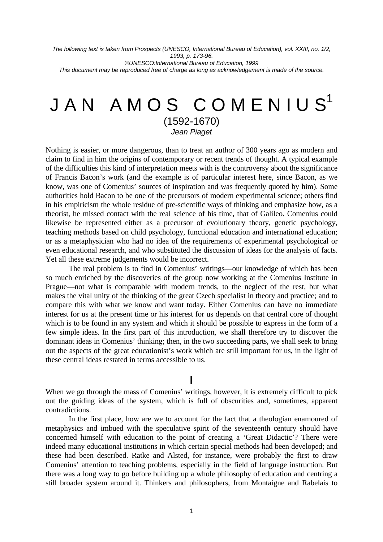*The following text is taken from Prospects (UNESCO, International Bureau of Education), vol. XXIII, no. 1/2, 1993, p. 173-96. ©UNESCO:International Bureau of Education, 1999*

*This document may be reproduced free of charge as long as acknowledgement is made of the source.*

# JAN AMOS COMENIUS<sup>1</sup> (1592-1670) *Jean Piaget*

Nothing is easier, or more dangerous, than to treat an author of 300 years ago as modern and claim to find in him the origins of contemporary or recent trends of thought. A typical example of the difficulties this kind of interpretation meets with is the controversy about the significance of Francis Bacon's work (and the example is of particular interest here, since Bacon, as we know, was one of Comenius' sources of inspiration and was frequently quoted by him). Some authorities hold Bacon to be one of the precursors of modern experimental science; others find in his empiricism the whole residue of pre-scientific ways of thinking and emphasize how, as a theorist, he missed contact with the real science of his time, that of Galileo. Comenius could likewise be represented either as a precursor of evolutionary theory, genetic psychology, teaching methods based on child psychology, functional education and international education; or as a metaphysician who had no idea of the requirements of experimental psychological or even educational research, and who substituted the discussion of ideas for the analysis of facts. Yet all these extreme judgements would be incorrect.

The real problem is to find in Comenius' writings—our knowledge of which has been so much enriched by the discoveries of the group now working at the Comenius Institute in Prague—not what is comparable with modern trends, to the neglect of the rest, but what makes the vital unity of the thinking of the great Czech specialist in theory and practice; and to compare this with what we know and want today. Either Comenius can have no immediate interest for us at the present time or his interest for us depends on that central core of thought which is to be found in any system and which it should be possible to express in the form of a few simple ideas. In the first part of this introduction, we shall therefore try to discover the dominant ideas in Comenius' thinking; then, in the two succeeding parts, we shall seek to bring out the aspects of the great educationist's work which are still important for us, in the light of these central ideas restated in terms accessible to us.

### **I**

When we go through the mass of Comenius' writings, however, it is extremely difficult to pick out the guiding ideas of the system, which is full of obscurities and, sometimes, apparent contradictions.

In the first place, how are we to account for the fact that a theologian enamoured of metaphysics and imbued with the speculative spirit of the seventeenth century should have concerned himself with education to the point of creating a 'Great Didactic'? There were indeed many educational institutions in which certain special methods had been developed; and these had been described. Ratke and Alsted, for instance, were probably the first to draw Comenius' attention to teaching problems, especially in the field of language instruction. But there was a long way to go before building up a whole philosophy of education and centring a still broader system around it. Thinkers and philosophers, from Montaigne and Rabelais to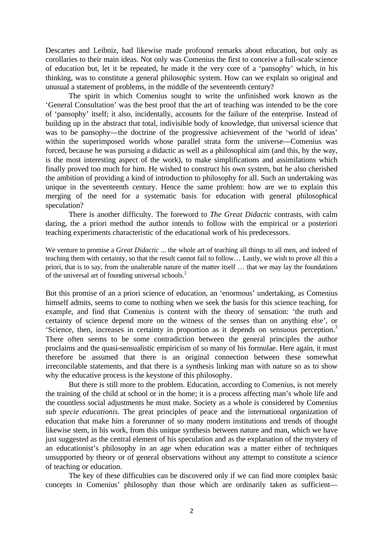Descartes and Leibniz, had likewise made profound remarks about education, but only as corollaries to their main ideas. Not only was Comenius the first to conceive a full-scale science of education but, let it be repeated, he made it the very core of a 'pansophy' which, in his thinking, was to constitute a general philosophic system. How can we explain so original and unusual a statement of problems, in the middle of the seventeenth century?

The spirit in which Comenius sought to write the unfinished work known as the 'General Consultation' was the best proof that the art of teaching was intended to be the core of 'pansophy' itself; it also, incidentally, accounts for the failure of the enterprise. Instead of building up in the abstract that total, indivisible body of knowledge, that universal science that was to be pansophy—the doctrine of the progressive achievement of the 'world of ideas' within the superimposed worlds whose parallel strata form the universe—Comenius was forced, because he was pursuing a didactic as well as a philosophical aim (and this, by the way, is the most interesting aspect of the work), to make simplifications and assimilations which finally proved too much for him. He wished to construct his own system, but he also cherished the ambition of providing a kind of introduction to philosophy for all. Such an undertaking was unique in the seventeenth century. Hence the same problem: how are we to explain this merging of the need for a systematic basis for education with general philosophical speculation?

There is another difficulty. The foreword to *The Great Didactic* contrasts, with calm daring, the a priori method the author intends to follow with the empirical or a posteriori teaching experiments characteristic of the educational work of his predecessors.

We venture to promise a *Great Didactic* ... the whole art of teaching all things to all men, and indeed of teaching them with certainty, so that the result cannot fail to follow… Lastly, we wish to prove all this a priori, that is to say, from the unalterable nature of the matter itself … that we may lay the foundations of the universal art of founding universal schools.<sup>2</sup>

But this promise of an a priori science of education, an 'enormous' undertaking, as Comenius himself admits, seems to come to nothing when we seek the basis for this science teaching, for example, and find that Comenius is content with the theory of sensation: 'the truth and certainty of science depend more on the witness of the senses than on anything else', or 'Science, then, increases in certainty in proportion as it depends on sensuous perception.<sup>3</sup> There often seems to be some contradiction between the general principles the author proclaims and the quasi-sensualistic empiricism of so many of his formulae. Here again, it must therefore be assumed that there is an original connection between these somewhat irreconcilable statements, and that there is a synthesis linking man with nature so as to show why the educative process is the keystone of this philosophy.

But there is still more to the problem. Education, according to Comenius, is not merely the training of the child at school or in the home; it is a process affecting man's whole life and the countless social adjustments he must make. Society as a whole is considered by Comenius *sub specie educationis*. The great principles of peace and the international organization of education that make him a forerunner of so many modern institutions and trends of thought likewise stem, in his work, from this unique synthesis between nature and man, which we have just suggested as the central element of his speculation and as the explanation of the mystery of an educationist's philosophy in an age when education was a matter either of techniques unsupported by theory or of general observations without any attempt to constitute a science of teaching or education.

The key of these difficulties can be discovered only if we can find more complex basic concepts in Comenius' philosophy than those which are ordinarily taken as sufficient—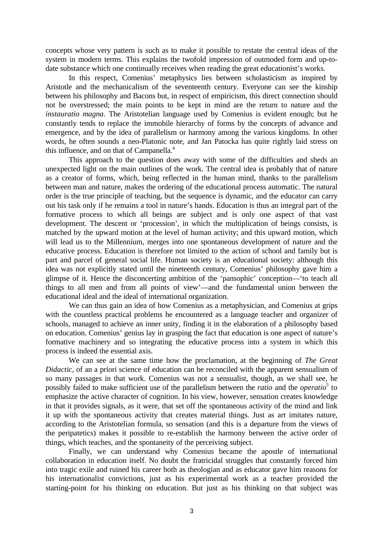concepts whose very pattern is such as to make it possible to restate the central ideas of the system in modern terms. This explains the twofold impression of outmoded form and up-todate substance which one continually receives when reading the great educationist's works.

In this respect, Comenius' metaphysics lies between scholasticism as inspired by Aristotle and the mechanicalism of the seventeenth century. Everyone can see the kinship between his philosophy and Bacons but, in respect of empiricism, this direct connection should not be overstressed; the main points to be kept in mind are the return to nature and the *instauratio magna*. The Aristotelian language used by Comenius is evident enough; but he constantly tends to replace the immobile hierarchy of forms by the concepts of advance and emergence, and by the idea of parallelism or harmony among the various kingdoms. In other words, he often sounds a neo-Platonic note, and Jan Patocka has quite rightly laid stress on this influence, and on that of Campanella.<sup>4</sup>

This approach to the question does away with some of the difficulties and sheds an unexpected light on the main outlines of the work. The central idea is probably that of nature as a creator of forms, which, being reflected in the human mind, thanks to the parallelism between man and nature, makes the ordering of the educational process automatic. The natural order is the true principle of teaching, but the sequence is dynamic, and the educator can carry out his task only if he remains a tool in nature's hands. Education is thus an integral part of the formative process to which all beings are subject and is only one aspect of that vast development. The descent or 'procession', in which the multiplication of beings consists, is matched by the upward motion at the level of human activity; and this upward motion, which will lead us to the Millennium, merges into one spontaneous development of nature and the educative process. Education is therefore not limited to the action of school and family but is part and parcel of general social life. Human society is an educational society: although this idea was not explicitly stated until the nineteenth century, Comenius' philosophy gave him a glimpse of it. Hence the disconcerting ambition of the 'pansophic' conception—'to teach all things to all men and from all points of view'—and the fundamental union between the educational ideal and the ideal of international organization.

We can thus gain an idea of how Comenius as a metaphysician, and Comenius at grips with the countless practical problems he encountered as a language teacher and organizer of schools, managed to achieve an inner unity, finding it in the elaboration of a philosophy based on education. Comenius' genius lay in grasping the fact that education is one aspect of nature's formative machinery and so integrating the educative process into a system in which this process is indeed the essential axis.

We can see at the same time how the proclamation, at the beginning of *The Great Didactic*, of an a priori science of education can be reconciled with the apparent sensualism of so many passages in that work. Comenius was not a sensualist, though, as we shall see, he possibly failed to make sufficient use of the parallelism between the *ratio* and the *operatio*<sup>5</sup> to emphasize the active character of cognition. In his view, however, sensation creates knowledge in that it provides signals, as it were, that set off the spontaneous activity of the mind and link it up with the spontaneous activity that creates material things. Just as art imitates nature, according to the Aristotelian formula, so sensation (and this is a departure from the views of the peripatetics) makes it possible to re-establish the harmony between the active order of things, which teaches, and the spontaneity of the perceiving subject.

Finally, we can understand why Comenius became the apostle of international collaboration in education itself. No doubt the fratricidal struggles that constantly forced him into tragic exile and ruined his career both as theologian and as educator gave him reasons for his internationalist convictions, just as his experimental work as a teacher provided the starting-point for his thinking on education. But just as his thinking on that subject was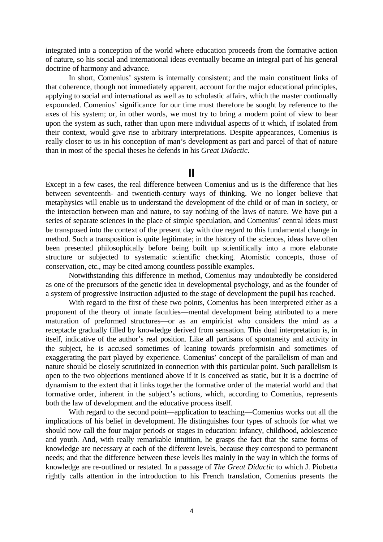integrated into a conception of the world where education proceeds from the formative action of nature, so his social and international ideas eventually became an integral part of his general doctrine of harmony and advance.

In short, Comenius' system is internally consistent; and the main constituent links of that coherence, though not immediately apparent, account for the major educational principles, applying to social and international as well as to scholastic affairs, which the master continually expounded. Comenius' significance for our time must therefore be sought by reference to the axes of his system; or, in other words, we must try to bring a modern point of view to bear upon the system as such, rather than upon mere individual aspects of it which, if isolated from their context, would give rise to arbitrary interpretations. Despite appearances, Comenius is really closer to us in his conception of man's development as part and parcel of that of nature than in most of the special theses he defends in his *Great Didactic*.

## **II**

Except in a few cases, the real difference between Comenius and us is the difference that lies between seventeenth- and twentieth-century ways of thinking. We no longer believe that metaphysics will enable us to understand the development of the child or of man in society, or the interaction between man and nature, to say nothing of the laws of nature. We have put a series of separate sciences in the place of simple speculation, and Comenius' central ideas must be transposed into the context of the present day with due regard to this fundamental change in method. Such a transposition is quite legitimate; in the history of the sciences, ideas have often been presented philosophically before being built up scientifically into a more elaborate structure or subjected to systematic scientific checking. Atomistic concepts, those of conservation, etc., may be cited among countless possible examples.

Notwithstanding this difference in method, Comenius may undoubtedly be considered as one of the precursors of the genetic idea in developmental psychology, and as the founder of a system of progressive instruction adjusted to the stage of development the pupil has reached.

With regard to the first of these two points, Comenius has been interpreted either as a proponent of the theory of innate faculties—mental development being attributed to a mere maturation of preformed structures—or as an empiricist who considers the mind as a receptacle gradually filled by knowledge derived from sensation. This dual interpretation is, in itself, indicative of the author's real position. Like all partisans of spontaneity and activity in the subject, he is accused sometimes of leaning towards preformisin and sometimes of exaggerating the part played by experience. Comenius' concept of the parallelism of man and nature should be closely scrutinized in connection with this particular point. Such parallelism is open to the two objections mentioned above if it is conceived as static, but it is a doctrine of dynamism to the extent that it links together the formative order of the material world and that formative order, inherent in the subject's actions, which, according to Comenius, represents both the law of development and the educative process itself.

With regard to the second point—application to teaching—Comenius works out all the implications of his belief in development. He distinguishes four types of schools for what we should now call the four major periods or stages in education: infancy, childhood, adolescence and youth. And, with really remarkable intuition, he grasps the fact that the same forms of knowledge are necessary at each of the different levels, because they correspond to permanent needs; and that the difference between these levels lies mainly in the way in which the forms of knowledge are re-outlined or restated. In a passage of *The Great Didactic* to which J. Piobetta rightly calls attention in the introduction to his French translation, Comenius presents the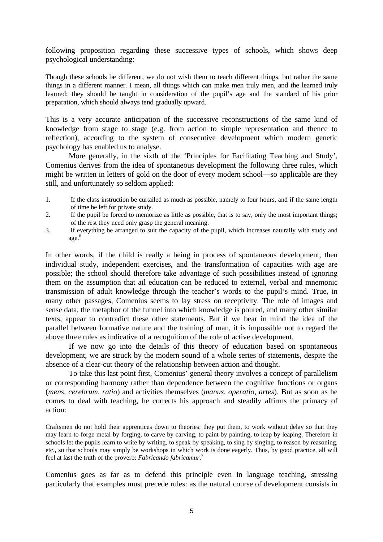following proposition regarding these successive types of schools, which shows deep psychological understanding:

Though these schools be different, we do not wish them to teach different things, but rather the same things in a different manner. I mean, all things which can make men truly men, and the learned truly learned; they should be taught in consideration of the pupil's age and the standard of his prior preparation, which should always tend gradually upward.

This is a very accurate anticipation of the successive reconstructions of the same kind of knowledge from stage to stage (e.g. from action to simple representation and thence to reflection), according to the system of consecutive development which modern genetic psychology bas enabled us to analyse.

More generally, in the sixth of the 'Principles for Facilitating Teaching and Study', Comenius derives from the idea of spontaneous development the following three rules, which might be written in letters of gold on the door of every modern school—so applicable are they still, and unfortunately so seldom applied:

- 1. If the class instruction be curtailed as much as possible, namely to four hours, and if the same length of time be left for private study.
- 2. If the pupil be forced to memorize as little as possible, that is to say, only the most important things; of the rest they need only grasp the general meaning.
- 3. If everything be arranged to suit the capacity of the pupil, which increases naturally with study and age.<sup>6</sup>

In other words, if the child is really a being in process of spontaneous development, then individual study, independent exercises, and the transformation of capacities with age are possible; the school should therefore take advantage of such possibilities instead of ignoring them on the assumption that ail education can be reduced to external, verbal and mnemonic transmission of adult knowledge through the teacher's words to the pupil's mind. True, in many other passages, Comenius seems to lay stress on receptivity. The role of images and sense data, the metaphor of the funnel into which knowledge is poured, and many other similar texts, appear to contradict these other statements. But if we bear in mind the idea of the parallel between formative nature and the training of man, it is impossible not to regard the above three rules as indicative of a recognition of the role of active development.

If we now go into the details of this theory of education based on spontaneous development, we are struck by the modern sound of a whole series of statements, despite the absence of a clear-cut theory of the relationship between action and thought.

To take this last point first, Comenius' general theory involves a concept of parallelism or corresponding harmony rather than dependence between the cognitive functions or organs (*mens, cerebrum, ratio*) and activities themselves (*manus, operatio, artes*). But as soon as he comes to deal with teaching, he corrects his approach and steadily affirms the primacy of action:

Craftsmen do not hold their apprentices down to theories; they put them, to work without delay so that they may learn to forge metal by forging, to carve by carving, to paint by painting, to leap by leaping. Therefore in schools let the pupils learn to write by writing, to speak by speaking, to sing by singing, to reason by reasoning, etc., so that schools may simply be workshops in which work is done eagerly. Thus, by good practice, all will feel at last the truth of the proverb: *Fabricando fabricamur*. 7

Comenius goes as far as to defend this principle even in language teaching, stressing particularly that examples must precede rules: as the natural course of development consists in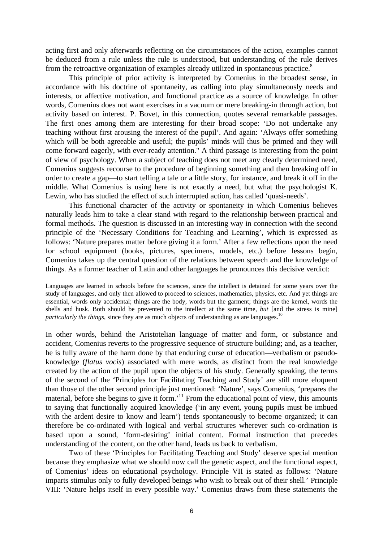acting first and only afterwards reflecting on the circumstances of the action, examples cannot be deduced from a rule unless the rule is understood, but understanding of the rule derives from the retroactive organization of examples already utilized in spontaneous practice. $8$ 

This principle of prior activity is interpreted by Comenius in the broadest sense, in accordance with his doctrine of spontaneity, as calling into play simultaneously needs and interests, or affective motivation, and functional practice as a source of knowledge. In other words, Comenius does not want exercises in a vacuum or mere breaking-in through action, but activity based on interest. P. Bovet, in this connection, quotes several remarkable passages. The first ones among them are interesting for their broad scope: 'Do not undertake any teaching without first arousing the interest of the pupil'. And again: 'Always offer something which will be both agreeable and useful; the pupils' minds will thus be primed and they will come forward eagerly, with ever-ready attention." A third passage is interesting from the point of view of psychology. When a subject of teaching does not meet any clearly determined need, Comenius suggests recourse to the procedure of beginning something and then breaking off in order to create a gap—to start telling a tale or a little story, for instance, and break it off in the middle. What Comenius is using here is not exactly a need, but what the psychologist K. Lewin, who has studied the effect of such interrupted action, has called 'quasi-needs'.

This functional character of the activity or spontaneity in which Comenius believes naturally leads him to take a clear stand with regard to the relationship between practical and formal methods. The question is discussed in an interesting way in connection with the second principle of the 'Necessary Conditions for Teaching and Learning', which is expressed as follows: 'Nature prepares matter before giving it a form.' After a few reflections upon the need for school equipment (books, pictures, specimens, models, etc.) before lessons begin, Comenius takes up the central question of the relations between speech and the knowledge of things. As a former teacher of Latin and other languages he pronounces this decisive verdict:

Languages are learned in schools before the sciences, since the intellect is detained for some years over the study of languages, and only then allowed to proceed to sciences, mathematics, physics, etc. And yet things are essential, words only accidental; things are the body, words but the garment; things are the kernel, words the shells and husk. Both should be prevented to the intellect at the same time, *but* [and the stress is mine] *particularly the things*, since they are as much objects of understanding as are languages.<sup>10</sup>

In other words, behind the Aristotelian language of matter and form, or substance and accident, Comenius reverts to the progressive sequence of structure building; and, as a teacher, he is fully aware of the harm done by that enduring curse of education—verbalism or pseudoknowledge (*flatus vocis*) associated with mere words, as distinct from the real knowledge created by the action of the pupil upon the objects of his study. Generally speaking, the terms of the second of the 'Principles for Facilitating Teaching and Study' are still more eloquent than those of the other second principle just mentioned: 'Nature', says Comenius, 'prepares the material, before she begins to give it form.<sup>11</sup> From the educational point of view, this amounts to saying that functionally acquired knowledge ('in any event, young pupils must be imbued with the ardent desire to know and learn') tends spontaneously to become organized; it can therefore be co-ordinated with logical and verbal structures wherever such co-ordination is based upon a sound, 'form-desiring' initial content. Formal instruction that precedes understanding of the content, on the other hand, leads us back to verbalism.

Two of these 'Principles for Facilitating Teaching and Study' deserve special mention because they emphasize what we should now call the genetic aspect, and the functional aspect, of Comenius' ideas on educational psychology. Principle VII is stated as follows: 'Nature imparts stimulus only to fully developed beings who wish to break out of their shell.' Principle VIII: 'Nature helps itself in every possible way.' Comenius draws from these statements the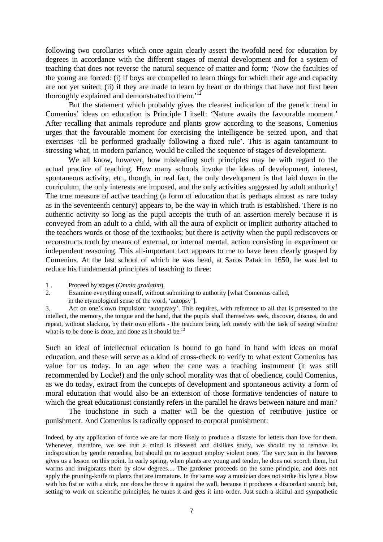following two corollaries which once again clearly assert the twofold need for education by degrees in accordance with the different stages of mental development and for a system of teaching that does not reverse the natural sequence of matter and form: 'Now the faculties of the young are forced: (i) if boys are compelled to learn things for which their age and capacity are not yet suited; (ii) if they are made to learn by heart or do things that have not first been thoroughly explained and demonstrated to them.<sup> $12$ </sup>

But the statement which probably gives the clearest indication of the genetic trend in Comenius' ideas on education is Principle I itself: 'Nature awaits the favourable moment.' After recalling that animals reproduce and plants grow according to the seasons, Comenius urges that the favourable moment for exercising the intelligence be seized upon, and that exercises 'all be performed gradually following a fixed rule'. This is again tantamount to stressing what, in modern parlance, would be called the sequence of stages of development.

We all know, however, how misleading such principles may be with regard to the actual practice of teaching. How many schools invoke the ideas of development, interest, spontaneous activity, etc., though, in real fact, the only development is that laid down in the curriculum, the only interests are imposed, and the only activities suggested by adult authority! The true measure of active teaching (a form of education that is perhaps almost as rare today as in the seventeenth century) appears to, be the way in which truth is established. There is no authentic activity so long as the pupil accepts the truth of an assertion merely because it is conveyed from an adult to a child, with all the aura of explicit or implicit authority attached to the teachers words or those of the textbooks; but there is activity when the pupil rediscovers or reconstructs truth by means of external, or internal mental, action consisting in experiment or independent reasoning. This all-important fact appears to me to have been clearly grasped by Comenius. At the last school of which he was head, at Saros Patak in 1650, he was led to reduce his fundamental principles of teaching to three:

- 1 . Proceed by stages (*Omnia gradatim*).
- 2. Examine everything oneself, without submitting to authority [what Comenius called,

in the etymological sense of the word, 'autopsy'].

3. Act on one's own impulsion: 'autopraxy'. This requires, with reference to all that is presented to the intellect, the memory, the tongue and the hand, that the pupils shall themselves seek, discover, discuss, do and repeat, without slacking, by their own efforts - the teachers being left merely with the task of seeing whether what is to be done is done, and done as it should be.<sup>13</sup>

Such an ideal of intellectual education is bound to go hand in hand with ideas on moral education, and these will serve as a kind of cross-check to verify to what extent Comenius has value for us today. In an age when the cane was a teaching instrument (it was still recommended by Locke!) and the only school morality was that of obedience, could Comenius, as we do today, extract from the concepts of development and spontaneous activity a form of moral education that would also be an extension of those formative tendencies of nature to which the great educationist constantly refers in the parallel he draws between nature and man?

The touchstone in such a matter will be the question of retributive justice or punishment. And Comenius is radically opposed to corporal punishment:

Indeed, by any application of force we are far more likely to produce a distaste for letters than love for them. Whenever, therefore, we see that a mind is diseased and dislikes study, we should try to remove its indisposition by gentle remedies, but should on no account employ violent ones. The very sun in the heavens gives us a lesson on this point. In early spring, when plants are young and tender, he does not scorch them, but warms and invigorates them by slow degrees.... The gardener proceeds on the same principle, and does not apply the pruning-knife to plants that are immature. In the same way a musician does not strike his lyre a blow with his fist or with a stick, nor does he throw it against the wall, because it produces a discordant sound; but, setting to work on scientific principles, he tunes it and gets it into order. Just such a skilful and sympathetic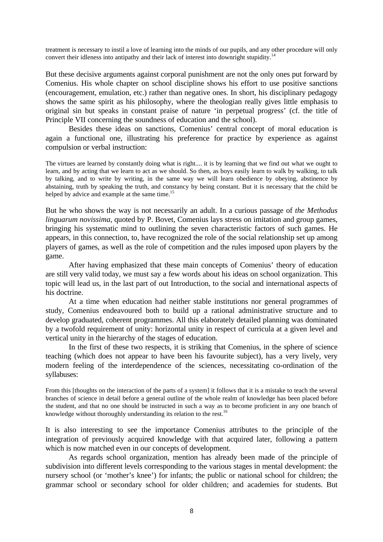treatment is necessary to instil a love of learning into the minds of our pupils, and any other procedure will only convert their idleness into antipathy and their lack of interest into downright stupidity.<sup>14</sup>

But these decisive arguments against corporal punishment are not the only ones put forward by Comenius. His whole chapter on school discipline shows his effort to use positive sanctions (encouragement, emulation, etc.) rather than negative ones. In short, his disciplinary pedagogy shows the same spirit as his philosophy, where the theologian really gives little emphasis to original sin but speaks in constant praise of nature 'in perpetual progress' (cf. the title of Principle VII concerning the soundness of education and the school).

Besides these ideas on sanctions, Comenius' central concept of moral education is again a functional one, illustrating his preference for practice by experience as against compulsion or verbal instruction:

The virtues are learned by constantly doing what is right.... it is by learning that we find out what we ought to learn, and by acting that we learn to act as we should. So then, as boys easily learn to walk by walking, to talk by talking, and to write by writing, in the same way we will learn obedience by obeying, abstinence by abstaining, truth by speaking the truth, and constancy by being constant. But it is necessary that the child be helped by advice and example at the same time.<sup>15</sup>

But he who shows the way is not necessarily an adult. In a curious passage of *the Methodus linguarum novissima*, quoted by P. Bovet, Comenius lays stress on imitation and group games, bringing his systematic mind to outlining the seven characteristic factors of such games. He appears, in this connection, to, have recognized the role of the social relationship set up among players of games, as well as the role of competition and the rules imposed upon players by the game.

After having emphasized that these main concepts of Comenius' theory of education are still very valid today, we must say a few words about his ideas on school organization. This topic will lead us, in the last part of out Introduction, to the social and international aspects of his doctrine.

At a time when education had neither stable institutions nor general programmes of study, Comenius endeavoured both to build up a rational administrative structure and to develop graduated, coherent programmes. All this elaborately detailed planning was dominated by a twofold requirement of unity: horizontal unity in respect of curricula at a given level and vertical unity in the hierarchy of the stages of education.

In the first of these two respects, it is striking that Comenius, in the sphere of science teaching (which does not appear to have been his favourite subject), has a very lively, very modern feeling of the interdependence of the sciences, necessitating co-ordination of the syllabuses:

From this [thoughts on the interaction of the parts of a system] it follows that it is a mistake to teach the several branches of science in detail before a general outline of the whole realm of knowledge has been placed before the student, and that no one should be instructed in such a way as to become proficient in any one branch of knowledge without thoroughly understanding its relation to the rest.<sup>16</sup>

It is also interesting to see the importance Comenius attributes to the principle of the integration of previously acquired knowledge with that acquired later, following a pattern which is now matched even in our concepts of development.

As regards school organization, mention has already been made of the principle of subdivision into different levels corresponding to the various stages in mental development: the nursery school (or 'mother's knee') for infants; the public or national school for children; the grammar school or secondary school for older children; and academies for students. But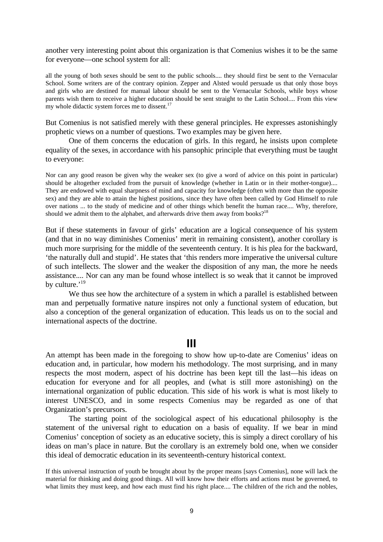another very interesting point about this organization is that Comenius wishes it to be the same for everyone—one school system for all:

all the young of both sexes should be sent to the public schools.... they should first be sent to the Vernacular School. Some writers are of the contrary opinion. Zepper and Alsted would persuade us that only those boys and girls who are destined for manual labour should be sent to the Vernacular Schools, while boys whose parents wish them to receive a higher education should be sent straight to the Latin School.... From this view my whole didactic system forces me to dissent. $17$ 

But Comenius is not satisfied merely with these general principles. He expresses astonishingly prophetic views on a number of questions. Two examples may be given here.

One of them concerns the education of girls. In this regard, he insists upon complete equality of the sexes, in accordance with his pansophic principle that everything must be taught to everyone:

Nor can any good reason be given why the weaker sex (to give a word of advice on this point in particular) should be altogether excluded from the pursuit of knowledge (whether in Latin or in their mother-tongue).... They are endowed with equal sharpness of mind and capacity for knowledge (often with more than the opposite sex) and they are able to attain the highest positions, since they have often been called by God Himself to rule over nations ... to the study of medicine and of other things which benefit the human race.... Why, therefore, should we admit them to the alphabet, and afterwards drive them away from books?<sup>18</sup>

But if these statements in favour of girls' education are a logical consequence of his system (and that in no way diminishes Comenius' merit in remaining consistent), another corollary is much more surprising for the middle of the seventeenth century. It is his plea for the backward, 'the naturally dull and stupid'. He states that 'this renders more imperative the universal culture of such intellects. The slower and the weaker the disposition of any man, the more he needs assistance.... Nor can any man be found whose intellect is so weak that it cannot be improved by culture.'<sup>19</sup>

We thus see how the architecture of a system in which a parallel is established between man and perpetually formative nature inspires not only a functional system of education, but also a conception of the general organization of education. This leads us on to the social and international aspects of the doctrine.

## **III**

An attempt has been made in the foregoing to show how up-to-date are Comenius' ideas on education and, in particular, how modern his methodology. The most surprising, and in many respects the most modern, aspect of his doctrine has been kept till the last—his ideas on education for everyone and for all peoples, and (what is still more astonishing) on the international organization of public education. This side of his work is what is most likely to interest UNESCO, and in some respects Comenius may be regarded as one of that Organization's precursors.

The starting point of the sociological aspect of his educational philosophy is the statement of the universal right to education on a basis of equality. If we bear in mind Comenius' conception of society as an educative society, this is simply a direct corollary of his ideas on man's place in nature. But the corollary is an extremely bold one, when we consider this ideal of democratic education in its seventeenth-century historical context.

If this universal instruction of youth be brought about by the proper means [says Comenius], none will lack the material for thinking and doing good things. All will know how their efforts and actions must be governed, to what limits they must keep, and how each must find his right place.... The children of the rich and the nobles,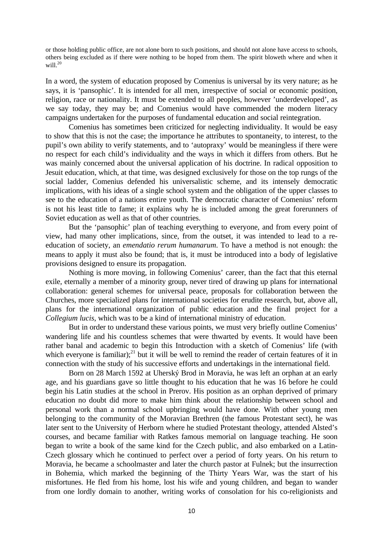or those holding public office, are not alone born to such positions, and should not alone have access to schools, others being excluded as if there were nothing to be hoped from them. The spirit bloweth where and when it will. $^{20}$ 

In a word, the system of education proposed by Comenius is universal by its very nature; as he says, it is 'pansophic'. It is intended for all men, irrespective of social or economic position, religion, race or nationality. It must be extended to all peoples, however 'underdeveloped', as we say today, they may be; and Comenius would have commended the modern literacy campaigns undertaken for the purposes of fundamental education and social reintegration.

Comenius has sometimes been criticized for neglecting individuality. It would be easy to show that this is not the case; the importance he attributes to spontaneity, to interest, to the pupil's own ability to verify statements, and to 'autopraxy' would be meaningless if there were no respect for each child's individuality and the ways in which it differs from others. But he was mainly concerned about the universal application of his doctrine. In radical opposition to Jesuit education, which, at that time, was designed exclusively for those on the top rungs of the social ladder, Comenius defended his universalistic scheme, and its intensely democratic implications, with his ideas of a single school system and the obligation of the upper classes to see to the education of a nations entire youth. The democratic character of Comenius' reform is not his least title to fame; it explains why he is included among the great forerunners of Soviet education as well as that of other countries.

But the 'pansophic' plan of teaching everything to everyone, and from every point of view, had many other implications, since, from the outset, it was intended to lead to a reeducation of society, an *emendatio rerum humanarum*. To have a method is not enough: the means to apply it must also be found; that is, it must be introduced into a body of legislative provisions designed to ensure its propagation.

Nothing is more moving, in following Comenius' career, than the fact that this eternal exile, eternally a member of a minority group, never tired of drawing up plans for international collaboration: general schemes for universal peace, proposals for collaboration between the Churches, more specialized plans for international societies for erudite research, but, above all, plans for the international organization of public education and the final project for a *Collegium lucis*, which was to be a kind of international ministry of education.

But in order to understand these various points, we must very briefly outline Comenius' wandering life and his countless schemes that were thwarted by events. It would have been rather banal and academic to begin this Introduction with a sketch of Comenius' life (with which everyone is familiar); $^{21}$  but it will be well to remind the reader of certain features of it in connection with the study of his successive efforts and undertakings in the international field.

Born on 28 March 1592 at Uherský Brod in Moravia, he was left an orphan at an early age, and his guardians gave so little thought to his education that he was 16 before he could begin his Latin studies at the school in Prerov. His position as an orphan deprived of primary education no doubt did more to make him think about the relationship between school and personal work than a normal school upbringing would have done. With other young men belonging to the community of the Moravian Brethren (the famous Protestant sect), he was later sent to the University of Herborn where he studied Protestant theology, attended Alsted's courses, and became familiar with Ratkes famous memorial on language teaching. He soon began to write a book of the same kind for the Czech public, and also embarked on a Latin-Czech glossary which he continued to perfect over a period of forty years. On his return to Moravia, he became a schoolmaster and later the church pastor at Fulnek; but the insurrection in Bohemia, which marked the beginning of the Thirty Years War, was the start of his misfortunes. He fled from his home, lost his wife and young children, and began to wander from one lordly domain to another, writing works of consolation for his co-religionists and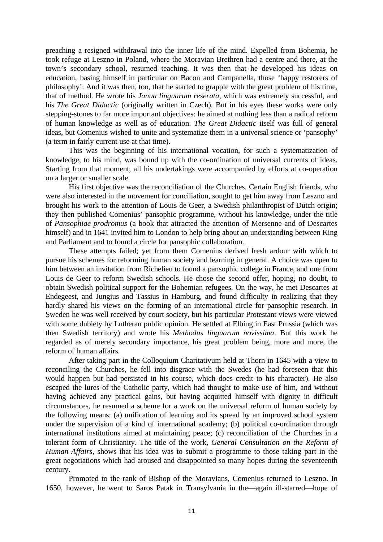preaching a resigned withdrawal into the inner life of the mind. Expelled from Bohemia, he took refuge at Leszno in Poland, where the Moravian Brethren had a centre and there, at the town's secondary school, resumed teaching. It was then that he developed his ideas on education, basing himself in particular on Bacon and Campanella, those 'happy restorers of philosophy'. And it was then, too, that he started to grapple with the great problem of his time, that of method. He wrote his *Janua linguarum reserata*, which was extremely successful, and his *The Great Didactic* (originally written in Czech). But in his eyes these works were only stepping-stones to far more important objectives: he aimed at nothing less than a radical reform of human knowledge as well as of education. *The Great Didactic* itself was full of general ideas, but Comenius wished to unite and systematize them in a universal science or 'pansophy' (a term in fairly current use at that time).

This was the beginning of his international vocation, for such a systematization of knowledge, to his mind, was bound up with the co-ordination of universal currents of ideas. Starting from that moment, all his undertakings were accompanied by efforts at co-operation on a larger or smaller scale.

His first objective was the reconciliation of the Churches. Certain English friends, who were also interested in the movement for conciliation, sought to get him away from Leszno and brought his work to the attention of Louis de Geer, a Swedish philanthropist of Dutch origin; they then published Comenius' pansophic programme, without his knowledge, under the title of *Pansophiae prodromus* (a book that attracted the attention of Mersenne and of Descartes himself) and in 1641 invited him to London to help bring about an understanding between King and Parliament and to found a circle for pansophic collaboration.

These attempts failed; yet from them Comenius derived fresh ardour with which to pursue his schemes for reforming human society and learning in general. A choice was open to him between an invitation from Richelieu to found a pansophic college in France, and one from Louis de Geer to reform Swedish schools. He chose the second offer, hoping, no doubt, to obtain Swedish political support for the Bohemian refugees. On the way, he met Descartes at Endegeest, and Jungius and Tassius in Hamburg, and found difficulty in realizing that they hardly shared his views on the forming of an international circle for pansophic research. In Sweden he was well received by court society, but his particular Protestant views were viewed with some dubiety by Lutheran public opinion. He settled at Elbing in East Prussia (which was then Swedish territory) and wrote his *Methodus linguarum novissima*. But this work he regarded as of merely secondary importance, his great problem being, more and more, the reform of human affairs.

After taking part in the Colloquium Charitativum held at Thorn in 1645 with a view to reconciling the Churches, he fell into disgrace with the Swedes (he had foreseen that this would happen but had persisted in his course, which does credit to his character). He also escaped the lures of the Catholic party, which had thought to make use of him, and without having achieved any practical gains, but having acquitted himself with dignity in difficult circumstances, he resumed a scheme for a work on the universal reform of human society by the following means: (a) unification of learning and its spread by an improved school system under the supervision of a kind of international academy; (b) political co-ordination through international institutions aimed at maintaining peace; (c) reconciliation of the Churches in a tolerant form of Christianity. The title of the work*, General Consultation on the Reform of Human Affairs*, shows that his idea was to submit a programme to those taking part in the great negotiations which had aroused and disappointed so many hopes during the seventeenth century.

Promoted to the rank of Bishop of the Moravians, Comenius returned to Leszno. In 1650, however, he went to Saros Patak in Transylvania in the—again ill-starred—hope of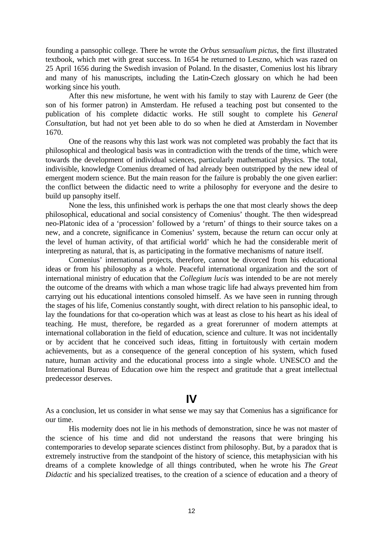founding a pansophic college. There he wrote the *Orbus sensualium pictus*, the first illustrated textbook, which met with great success. In 1654 he returned to Leszno, which was razed on 25 April 1656 during the Swedish invasion of Poland. In the disaster, Comenius lost his library and many of his manuscripts, including the Latin-Czech glossary on which he had been working since his youth.

After this new misfortune, he went with his family to stay with Laurenz de Geer (the son of his former patron) in Amsterdam. He refused a teaching post but consented to the publication of his complete didactic works. He still sought to complete his *General Consultation*, but had not yet been able to do so when he died at Amsterdam in November 1670.

One of the reasons why this last work was not completed was probably the fact that its philosophical and theological basis was in contradiction with the trends of the time, which were towards the development of individual sciences, particularly mathematical physics. The total, indivisible, knowledge Comenius dreamed of had already been outstripped by the new ideal of emergent modern science. But the main reason for the failure is probably the one given earlier: the conflict between the didactic need to write a philosophy for everyone and the desire to build up pansophy itself.

None the less, this unfinished work is perhaps the one that most clearly shows the deep philosophical, educational and social consistency of Comenius' thought. The then widespread neo-Platonic idea of a 'procession' followed by a 'return' of things to their source takes on a new, and a concrete, significance in Comenius' system, because the return can occur only at the level of human activity, of that artificial world' which he had the considerable merit of interpreting as natural, that is, as participating in the formative mechanisms of nature itself.

Comenius' international projects, therefore, cannot be divorced from his educational ideas or from his philosophy as a whole. Peaceful international organization and the sort of international ministry of education that the *Collegium lucis* was intended to be are not merely the outcome of the dreams with which a man whose tragic life had always prevented him from carrying out his educational intentions consoled himself. As we have seen in running through the stages of his life, Comenius constantly sought, with direct relation to his pansophic ideal, to lay the foundations for that co-operation which was at least as close to his heart as his ideal of teaching. He must, therefore, be regarded as a great forerunner of modern attempts at international collaboration in the field of education, science and culture. It was not incidentally or by accident that he conceived such ideas, fitting in fortuitously with certain modern achievements, but as a consequence of the general conception of his system, which fused nature, human activity and the educational process into a single whole. UNESCO and the International Bureau of Education owe him the respect and gratitude that a great intellectual predecessor deserves.

## **IV**

As a conclusion, let us consider in what sense we may say that Comenius has a significance for our time.

His modernity does not lie in his methods of demonstration, since he was not master of the science of his time and did not understand the reasons that were bringing his contemporaries to develop separate sciences distinct from philosophy. But, by a paradox that is extremely instructive from the standpoint of the history of science, this metaphysician with his dreams of a complete knowledge of all things contributed, when he wrote his *The Great Didactic* and his specialized treatises, to the creation of a science of education and a theory of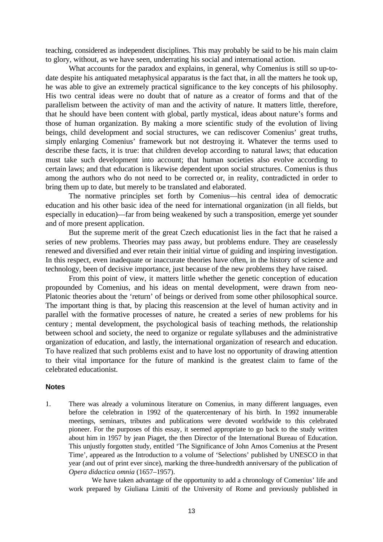teaching, considered as independent disciplines. This may probably be said to be his main claim to glory, without, as we have seen, underrating his social and international action.

What accounts for the paradox and explains, in general, why Comenius is still so up-todate despite his antiquated metaphysical apparatus is the fact that, in all the matters he took up, he was able to give an extremely practical significance to the key concepts of his philosophy. His two central ideas were no doubt that of nature as a creator of forms and that of the parallelism between the activity of man and the activity of nature. It matters little, therefore, that he should have been content with global, partly mystical, ideas about nature's forms and those of human organization. By making a more scientific study of the evolution of living beings, child development and social structures, we can rediscover Comenius' great truths, simply enlarging Comenius' framework but not destroying it. Whatever the terms used to describe these facts, it is true: that children develop according to natural laws; that education must take such development into account; that human societies also evolve according to certain laws; and that education is likewise dependent upon social structures. Comenius is thus among the authors who do not need to be corrected or, in reality, contradicted in order to bring them up to date, but merely to be translated and elaborated.

The normative principles set forth by Comenius—his central idea of democratic education and his other basic idea of the need for international organization (in all fields, but especially in education)—far from being weakened by such a transposition, emerge yet sounder and of more present application.

But the supreme merit of the great Czech educationist lies in the fact that he raised a series of new problems. Theories may pass away, but problems endure. They are ceaselessly renewed and diversified and ever retain their initial virtue of guiding and inspiring investigation. In this respect, even inadequate or inaccurate theories have often, in the history of science and technology, been of decisive importance, just because of the new problems they have raised.

From this point of view, it matters little whether the genetic conception of education propounded by Comenius, and his ideas on mental development, were drawn from neo-Platonic theories about the 'return' of beings or derived from some other philosophical source. The important thing is that, by placing this reascension at the level of human activity and in parallel with the formative processes of nature, he created a series of new problems for his century ; mental development, the psychological basis of teaching methods, the relationship between school and society, the need to organize or regulate syllabuses and the administrative organization of education, and lastly, the international organization of research and education. To have realized that such problems exist and to have lost no opportunity of drawing attention to their vital importance for the future of mankind is the greatest claim to fame of the celebrated educationist.

#### **Notes**

1. There was already a voluminous literature on Comenius, in many different languages, even before the celebration in 1992 of the quatercentenary of his birth. In 1992 innumerable meetings, seminars, tributes and publications were devoted worldwide to this celebrated pioneer. For the purposes of this essay, it seemed appropriate to go back to the study written about him in 1957 by jean Piaget, the then Director of the International Bureau of Education. This unjustly forgotten study, entitled 'The Significance of John Amos Comenius at the Present Time', appeared as the Introduction to a volume of 'Selections' published by UNESCO in that year (and out of print ever since), marking the three-hundredth anniversary of the publication of *Opera didactica omnia* (1657–1957).

We have taken advantage of the opportunity to add a chronology of Comenius' life and work prepared by Giuliana Limiti of the University of Rome and previously published in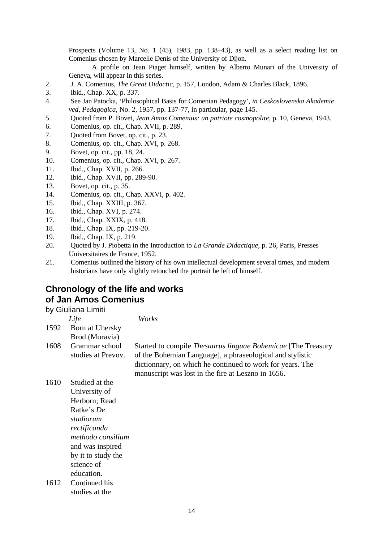Prospects (Volume 13, No. 1 (45), 1983, pp. 138–43), as well as a select reading list on Comenius chosen by Marcelle Denis of the University of Dijon.

A profile on Jean Piaget himself, written by Alberto Munari of the University of Geneva, will appear in this series.

- 2. J. A. Comenius, *The Great Didactic*, p. 157, London, Adam & Charles Black, 1896.
- 3. Ibid., Chap. XX, p. 337.
- 4. See Jan Patocka, 'Philosophical Basis for Comenian Pedagogy', *in Ceskoslovenska Akademie ved, Pedagogica*, No. 2, 1957, pp. 137-77, in particular, page 145.
- 5. Quoted from P. Bovet, *Jean Amos Comenius: un patriote cosmopolite*, p. 10, Geneva, 1943.
- 6. Comenius, op. cit., Chap. XVII, p. 289.
- 7. Quoted from Bovet, op. cit., p. 23.
- 8. Comenius, op. cit., Chap. XVI, p. 268.
- 9. Bovet, op. cit., pp. 18, 24.
- 10. Comenius, op. cit., Chap. XVI, p. 267.
- 11. Ibid., Chap. XVII, p. 266.
- 12. Ibid., Chap. XVII, pp. 289-90.
- 13. Bovet, op. cit., p. 35.
- 14. Comenius, op. cit., Chap. XXVI, p. 402.
- 15. Ibid., Chap. XXIII, p. 367.
- 16. Ibid., Chap. XVI, p. 274.
- 17. Ibid., Chap. XXIX, p. 418.
- 18. Ibid., Chap. IX, pp. 219-20.
- 19. Ibid., Chap. IX, p. 219.
- 20. Quoted by J. Piobetta in the Introduction to *La Grande Didactique*, p. 26, Paris, Presses Universitaires de France, 1952.
- 21. Comenius outlined the history of his own intellectual development several times, and modern historians have only slightly retouched the portrait he left of himself.

## **Chronology of the life and works of Jan Amos Comenius**

| by Giuliana Limiti |                                      |                                                                                                                                                                                                                                                     |  |  |  |
|--------------------|--------------------------------------|-----------------------------------------------------------------------------------------------------------------------------------------------------------------------------------------------------------------------------------------------------|--|--|--|
|                    | Life                                 | Works                                                                                                                                                                                                                                               |  |  |  |
| 1592               | Born at Uhersky                      |                                                                                                                                                                                                                                                     |  |  |  |
|                    | Brod (Moravia)                       |                                                                                                                                                                                                                                                     |  |  |  |
| 1608               | Grammar school<br>studies at Prevov. | Started to compile <i>Thesaurus linguae Bohemicae</i> [The Treasury<br>of the Bohemian Language], a phraseological and stylistic<br>dictionnary, on which he continued to work for years. The<br>manuscript was lost in the fire at Leszno in 1656. |  |  |  |
| 1610               | Studied at the                       |                                                                                                                                                                                                                                                     |  |  |  |
|                    | University of                        |                                                                                                                                                                                                                                                     |  |  |  |
|                    | Herborn; Read                        |                                                                                                                                                                                                                                                     |  |  |  |
|                    | Ratke's De                           |                                                                                                                                                                                                                                                     |  |  |  |
|                    | studiorum                            |                                                                                                                                                                                                                                                     |  |  |  |
|                    | rectificanda                         |                                                                                                                                                                                                                                                     |  |  |  |
|                    | methodo consilium                    |                                                                                                                                                                                                                                                     |  |  |  |
|                    | and was inspired                     |                                                                                                                                                                                                                                                     |  |  |  |
|                    | by it to study the                   |                                                                                                                                                                                                                                                     |  |  |  |
|                    | science of                           |                                                                                                                                                                                                                                                     |  |  |  |
|                    | education.                           |                                                                                                                                                                                                                                                     |  |  |  |
| 1612               | Continued his                        |                                                                                                                                                                                                                                                     |  |  |  |
|                    | studies at the                       |                                                                                                                                                                                                                                                     |  |  |  |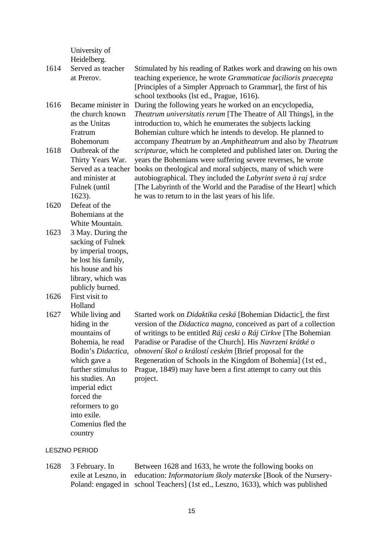University of Heidelberg.

1614 Served as teacher at Prerov. Stimulated by his reading of Ratkes work and drawing on his own teaching experience, he wrote *Grammaticae facilioris praecepta* [Principles of a Simpler Approach to Grammar], the first of his school textbooks (lst ed., Prague, 1616). 1616 1618 1620 1623 Became minister in the church known as the Unitas Fratrum Bohemorum Outbreak of the Thirty Years War. Served as a teacher and minister at Fulnek (until 1623). Defeat of the Bohemians at the White Mountain. 3 May. During the sacking of Fulnek by imperial troops, he lost his family, his house and his library, which was publicly burned. During the following years he worked on an encyclopedia, *Theatrum universitatis rerum* [The Theatre of All Things], in the introduction to, which he enumerates the subjects lacking Bohemian culture which he intends to develop. He planned to accompany *Theatrum* by an *Amphitheatrum* and also by *Theatrum scripturae*, which he completed and published later on. During the years the Bohemians were suffering severe reverses, he wrote books on theological and moral subjects, many of which were autobiographical. They included the *Labyrint sveta à raj srdce* [The Labyrinth of the World and the Paradise of the Heart] which he was to return to in the last years of his life. 1626 First visit to Holland 1627 While living and hiding in the mountains of Bohemia, he read Bodin's *Didactica*, which gave a further stimulus to his studies. An imperial edict forced the reformers to go into exile. Comenius fled the country Started work on *Didaktika ceská* [Bohemian Didactic], the first version of the *Didactica magna*, conceived as part of a collection of writings to be entitled *Ráj ceski o Ráj Cirkve* [The Bohemian Paradise or Paradise of the Church]. His *Navrzeni krátké o obnovení škol o králostí ceském* [Brief proposal for the Regeneration of Schools in the Kingdom of Bohemia] (1st ed., Prague, 1849) may have been a first attempt to carry out this project.

#### LESZNO PERIOD

1628 3 February. In

exile at Leszno, in

Poland: engaged in school Teachers] (1st ed., Leszno, 1633), which was publishedBetween 1628 and 1633, he wrote the following books on education: *Informatorium školy materske* [Book of the Nursery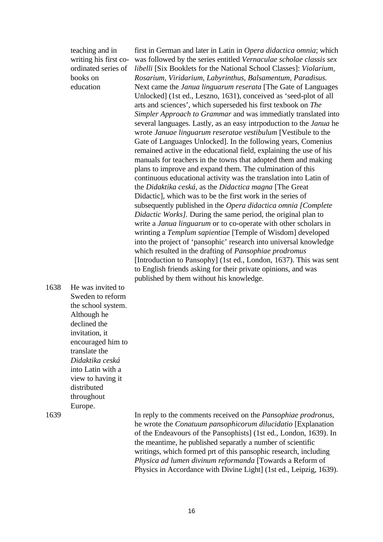teaching and in writing his first coordinated series of books on education

first in German and later in Latin in *Opera didactica omnia*; which was followed by the series entitled *Vernaculae scholae classis sex libelli* [Six Booklets for the National School Classes]: *Violarium, Rosarium, Viridarium, Labyrinthus, Balsamentum, Paradisus.* Next came the *Janua linguarum reserata* [The Gate of Languages Unlocked] (1st ed., Leszno, 1631), conceived as 'seed-plot of all arts and sciences', which superseded his first texbook on *The Simpler Approach to Grammar* and was immediatly translated into several languages. Lastly, as an easy intrpoduction to the *Janua* he wrote *Januae linguarum reseratae vestibulum* [Vestibule to the Gate of Languages Unlocked]. In the following years, Comenius remained active in the educational field, explaining the use of his manuals for teachers in the towns that adopted them and making plans to improve and expand them. The culmination of this continuous educational activity was the translation into Latin of the *Didaktika ceská,* as the *Didactica magna* [The Great Didactic], which was to be the first work in the series of subsequently published in the *Opera didactica omnia [Complete Didactic Works].* During the same period, the original plan to write a *Janua linguarum* or to co-operate with other scholars in wrinting a *Templum sapientiae* [Temple of Wisdom] developed into the project of 'pansophic' research into universal knowledge which resulted in the drafting of *Pansophiae prodromus* [Introduction to Pansophy] (1st ed., London, 1637). This was sent to English friends asking for their private opinions, and was published by them without his knowledge.

1638 He was invited to Sweden to reform the school system. Although he declined the invitation, it encouraged him to translate the *Didaktika ceská* into Latin with a view to having it distributed throughout Europe.

1639 In reply to the comments received on the *Pansophiae prodronus*, he wrote the *Conatuum pansophicorum dilucidatio* [Explanation of the Endeavours of the Pansophists] (1st ed., London, 1639). In the meantime, he published separatly a number of scientific writings, which formed prt of this pansophic research, including *Physica ad lumen divinum reformanda* [Towards a Reform of Physics in Accordance with Divine Light] (1st ed., Leipzig, 1639).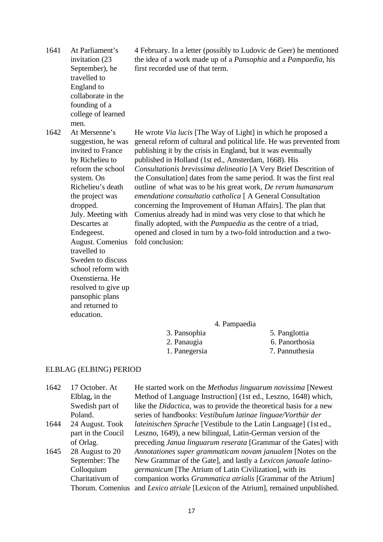| 1641 | At Parliament's<br>invitation (23<br>September), he<br>travelled to<br>England to<br>collaborate in the<br>founding of a<br>college of learned<br>men.                                                                                                                                                                                                                                              | 4 February. In a letter (possibly to Ludovic de Geer) he mentioned<br>the idea of a work made up of a Pansophia and a Pampaedia, his<br>first recorded use of that term.                                                                                                                                                                                                                                                                                                                                                                                                                                                                                                                                                                                                                                                             |
|------|-----------------------------------------------------------------------------------------------------------------------------------------------------------------------------------------------------------------------------------------------------------------------------------------------------------------------------------------------------------------------------------------------------|--------------------------------------------------------------------------------------------------------------------------------------------------------------------------------------------------------------------------------------------------------------------------------------------------------------------------------------------------------------------------------------------------------------------------------------------------------------------------------------------------------------------------------------------------------------------------------------------------------------------------------------------------------------------------------------------------------------------------------------------------------------------------------------------------------------------------------------|
| 1642 | At Mersenne's<br>suggestion, he was<br>invited to France<br>by Richelieu to<br>reform the school<br>system. On<br>Richelieu's death<br>the project was<br>dropped.<br>July. Meeting with<br>Descartes at<br>Endegeest.<br>August. Comenius<br>travelled to<br>Sweden to discuss<br>school reform with<br>Oxenstierna. He<br>resolved to give up<br>pansophic plans<br>and returned to<br>education. | He wrote <i>Via lucis</i> [The Way of Light] in which he proposed a<br>general reform of cultural and political life. He was prevented from<br>publishing it by the crisis in England, but it was eventually<br>published in Holland (1st ed., Amsterdam, 1668). His<br>Consultationis brevissima delineatio [A Very Brief Descrition of<br>the Consultation] dates from the same period. It was the first real<br>outline of what was to be his great work, De rerum humanarum<br>emendatione consultatio catholica [ A General Consultation<br>concerning the Improvement of Human Affairs]. The plan that<br>Comenius already had in mind was very close to that which he<br>finally adopted, with the Pampaedia as the centre of a triad,<br>opened and closed in turn by a two-fold introduction and a two-<br>fold conclusion: |

## 4. Pampaedia

- 
- 
- 1. Panegersia 7. Pannuthesia
- 3. Pansophia 5. Panglottia
- 5. Panglottia<br>6. Panorthosia<br>7. Pannuthesia

## ELBLAG (ELBING) PERIOD

| 1642 | 17 October. At     | He started work on the Methodus linguarum novissima [Newest]               |
|------|--------------------|----------------------------------------------------------------------------|
|      | Elblag, in the     | Method of Language Instruction] (1st ed., Leszno, 1648) which,             |
|      | Swedish part of    | like the <i>Didactica</i> , was to provide the theoretical basis for a new |
|      | Poland.            | series of handbooks: Vestibulum latinae linguae/Vorthür der                |
| 1644 | 24 August. Took    | <i>lateinischen Sprache</i> [Vestibule to the Latin Language] (1st ed.,    |
|      | part in the Coucil | Leszno, 1649), a new bilingual, Latin-German version of the                |
|      | of Orlag.          | preceding Janua linguarum reserata [Grammar of the Gates] with             |
| 1645 | 28 August to 20    | Annotationes super grammaticam novam janualem [Notes on the                |
|      | September: The     | New Grammar of the Gate], and lastly a Lexicon januale latino-             |
|      | Colloquium         | germanicum [The Atrium of Latin Civilization], with its                    |
|      | Charitativum of    | companion works <i>Grammatica atrialis</i> [Grammar of the Atrium]         |
|      | Thorum. Comenius   | and Lexico atriale [Lexicon of the Atrium], remained unpublished.          |
|      |                    |                                                                            |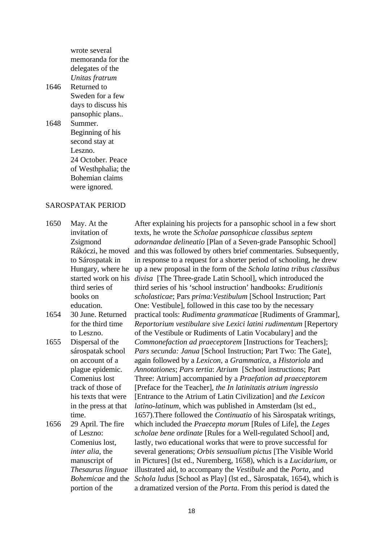wrote several memoranda for the delegates of the *Unitas fratrum* 1646 Returned to Sweden for a few days to discuss his pansophic plans.. 1648 Summer. Beginning of his second stay at

Leszno. 24 October. Peace of Westhphalia; the Bohemian claims were ignored.

#### SAROSPATAK PERIOD

1650 1654 1655 1656 May. At the invitation of Zsigmond Rákóczi, he moved to Sárospatak in Hungary, where he up a new proposal in the form of the *Schola latina tribus classibus* started work on his *divisa* [The Three-grade Latin School], which introduced the third series of books on education. 30 June. Returned for the third time to Leszno. Dispersal of the sárospatak school on account of a plague epidemic. Comenius lost track of those of his texts that were in the press at that time. 29 April. The fire of Leszno: Comenius lost, *inter alia*, the manuscript of *Thesaurus linguae Bohemicae* and the *Schola ludus* [School as Play] (lst ed., Sàrospatak, 1654), which is portion of the After explaining his projects for a pansophic school in a few short texts, he wrote the *Scholae pansophicae classibus septem adornandae delineatio* [Plan of a Seven-grade Pansophic School] and this was followed by others brief commentaries. Subsequently, in response to a request for a shorter period of schooling, he drew third series of his 'school instruction' handbooks: *Eruditionis scholasticae*; Pars *prima:Vestibulum* [School Instruction; Part One: Vestibule], followed in this case too by the necessary practical tools: *Rudimenta grammaticae* [Rudiments of Grammar], *Reportorium vestibulare sive Lexici latini rudimentum* [Repertory of the Vestibule or Rudiments of Latin Vocabulary] and the *Commonefaction ad praeceptorem* [Instructions for Teachers]; *Pars secunda: Janua* [School Instruction; Part Two: The Gate], again followed by a *Lexicon,* a *Grammatica*, a *Historiola* and *Annotationes*; *Pars tertia*: *Atrium* [School instructions; Part Three: Atrium] accompanied by a *Praefation ad praeceptorem* [Preface for the Teacher], *the In latinitatis atrium ingressio* [Entrance to the Atrium of Latin Civilization] and *the Lexicon latino-latinum*, which was published in Amsterdam (lst ed., 1657).There followed the *Continuatio* of his Sàrospatak writings, which included the *Praecepta morum* [Rules of Life], the *Leges scholae bene ordinate* [Rules for a Well-regulated School] and, lastly, two educational works that were to prove successful for several generations; *Orbis sensualium pictus* [The Visible World in Pictures] (lst ed., Nuremberg, 1658), which is a *Lucidarium*, or illustrated aid, to accompany the *Vestibule* and the *Porta*, and a dramatized version of the *Porta*. From this period is dated the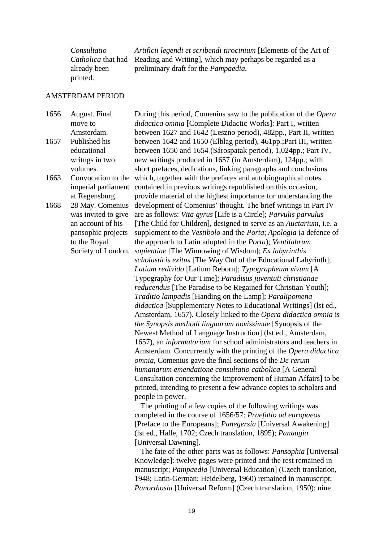*Consultatio Catholica* that had already been printed.

*Artificii legendi et scribendi tirocinium* [Elements of the Art of Reading and Writing], which may perhaps be regarded as a preliminary draft for the *Pampaedia.*

### AMSTERDAM PERIOD

- 1656 1657 August. Final move to Amsterdam. Published his educational writngs in two volumes.
- 1663 imperial parliament at Regensburg.
- 1668 28 May. Comenius was invited to give an account of his pansophic projects to the Royal

Convocation to the which, together with the prefaces and autobiographical notes Society of London. *sapientiae* [The Winnowing of Wisdom]; *Ex labyrinthis* During this period, Comenius saw to the publication of the *Opera didactica omnia* [Complete Didactic Works]: Part I, written between 1627 and 1642 (Leszno period), 482pp., Part II, written between 1642 and 1650 (Elblag period), 461pp.;Part III, written between 1650 and 1654 (Sárospatak period), 1,024pp.; Part IV, new writings produced in 1657 (in Amsterdam), 124pp.; with short prefaces, dedications, linking paragraphs and conclusions contained in previous writings republished on this occasion, provide material of the highest importance for understanding the development of Comenius' thought. The brief writings in Part IV are as follows: *Vita gyrus* [Life is a Circle]; *Parvulis parvulus* [The Child for Children], designed to serve as an *Auctarium*, i.e. a supplement to the *Vestibolo* and the *Porta*; *Apologia* (a defence of the approach to Latin adopted in the *Porta*); *Ventilabrum scholasticis exitus* [The Way Out of the Educational Labyrinth]; *Latium redivido* [Latium Reborn]; *Typographeum vivum* [A Typography for Our Time]; *Paradisus juventuti christianae reducendus* [The Paradise to be Regained for Christian Youth]; *Traditio lampadis* [Handing on the Lamp]; *Paralipomena didactica* [Supplementary Notes to Educational Writings] (lst ed., Amsterdam, 1657). Closely linked to the *Opera didactica omnia* i*s the Synopsis methodi linguarum novissimae* [Synopsis of the Newest Method of Language Instruction] (lst ed., Amsterdam, 1657), an *informatorium* for school administrators and teachers in Amsterdam. Concurrently with the printing of the *Opera didactica omnia*, Comenius gave the final sections of the *De rerum humanarum emendatione consultatio catbolica* [A General Consultation concerning the Improvement of Human Affairs] to be printed, intending to present a few advance copies to scholars and people in power.

> The printing of a few copies of the following writings was completed in the course of 1656/57: *Praefatio ad europaeos* [Preface to the Europeans]; *Panegersia* [Universal Awakening] (lst ed., Halle, 1702; Czech translation, 1895); *Panaugia* [Universal Dawning].

 The fate of the other parts was as follows: *Pansophia* [Universal Knowledge]: twelve pages were printed and the rest remained in manuscript; *Pampaedia* [Universal Education] (Czech translation, 1948; Latin-German: Heidelberg, 1960) remained in manuscript; *Panorthosia* [Universal Reform] (Czech translation, 1950): nine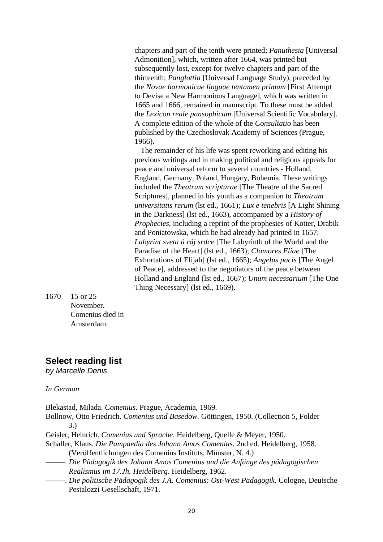chapters and part of the tenth were printed; *Panuthesia* [Universal Admonition], which, written after 1664, was printed but subsequently lost, except for twelve chapters and part of the thirteenth; *Panglottia* [Universal Language Study), preceded by the *Novae harmonicae linguae tentamen primum* [First Attempt to Devise a New Harmonious Language], which was written in 1665 and 1666, remained in manuscript. To these must be added the *Lexicon reale pansophicum* [Universal Scientific Vocabulary]. A complete edition of the whole of the *Consultatio* has been published by the Czechoslovak Academy of Sciences (Prague, 1966).

 The remainder of his life was spent reworking and editing his previous writings and in making political and religious appeals for peace and universal reform to several countries - Holland, England, Germany, Poland, Hungary, Bohemia. These writings included the *Theatrum scripturae* [The Theatre of the Sacred Scriptures], planned in his youth as a companion to *Theatrum universitatis rerum* (lst ed., 1661); *Lux e tenebris* [A Light Shining in the Darkness] (lst ed., 1663), accompanied by a *History of Prophecies*, including a reprint of the prophesies of Kotter, Drabik and Poniatowska, which he had already had printed in 1657; *Labyrint sveta à ráj srdce* [The Labyrinth of the World and the Paradise of the Heart] (lst ed., 1663); *Clamores Eliae* [The Exhortations of Elijah] (lst ed., 1665); *Angelus pacis* [The Angel of Peace], addressed to the negotiators of the peace between Holland and England (lst ed., 1667); *Unum necessarium* [The One Thing Necessary] (lst ed., 1669).

1670 15 or 25 November. Comenius died in Amsterdam.

## **Select reading list**

*by Marcelle Denis*

*In German*

Blekastad, Milada. *Comenius*. Prague, Academia, 1969.

- Bollnow, Otto Friedrich. *Comenius und Basedow*. Göttingen, 1950. (Collection 5, Folder 3.)
- Geisler, Heinrich. *Comenius und Sprache*. Heidelberg, Quelle & Meyer, 1950.
- Schaller, Klaus. *Die Pampaedia des Johann Amos Comenius*. 2nd ed. Heidelberg, 1958. (Veröffentlichungen des Comenius Instituts, Münster, N. 4.)
- –––––. *Die Pädagogik des Johann Amos Comenius und die Anfänge des pädagogischen Realismus im 17.Jh. Heidelberg*. Heidelberg, 1962.
- –––––. *Die politiscbe Pädagogik des J.A. Comenius: Ost-West Pädagogik*. Cologne, Deutsche Pestalozzi Gesellschaft, 1971.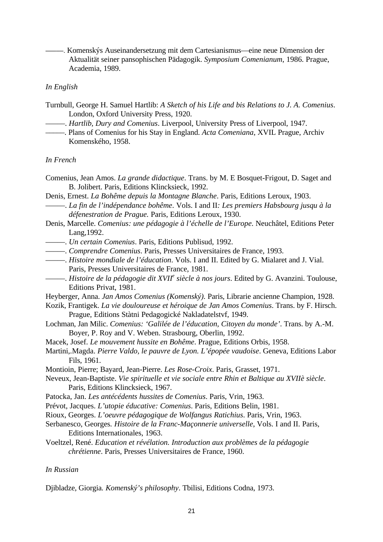–––––. Komenskýs Auseinandersetzung mit dem Cartesianismus—eine neue Dimension der Aktualität seiner pansophischen Pädagogik. *Symposium Comenianum*, 1986. Prague, Academia, 1989.

### *In English*

- Turnbull, George H. Samuel Hartlib: *A Sketch of his Life and bis Relations to J. A. Comenius*. London, Oxford University Press, 1920.
- –––––. *Hartlib, Dury and Comenius*. Liverpool, University Press of Liverpool, 1947.
- –––––. Plans of Comenius for his Stay in England. *Acta Comeniana*, XVIL Prague, Archiv Komenského, 1958.

## *In French*

- Comenius, Jean Amos. *La grande didactique*. Trans. by M. E Bosquet-Frigout, D. Saget and B. Jolibert. Paris, Editions Klincksieck, 1992.
- Denis, Ernest. *La Bohême depuis la Montagne Blanche*. Paris, Editions Leroux, 1903.
- –––––. *La fin de l'indépendance bohême*. Vols. I and II*: Les premiers Habsbourg jusqu à la défenestration de Prague.* Paris, Editions Leroux, 1930.
- Denis, Marcelle. *Comenius: une pédagogie à l'échelle de l'Europe*. Neuchâtel, Editions Peter Lang,1992.
- –––––. *Un certain Comenius*. Paris, Editions Publisud, 1992.
- –––––. *Comprendre Comenius*. Paris, Presses Universitaires de France, 1993.
- –––––. *Histoire mondiale de l'éducation*. Vols. I and II. Edited by G. Mialaret and J. Vial. Paris, Presses Universitaires de France, 1981.
- –––––. *Histoire de la pédagogie dit XVII<sup>e</sup> siècle à nos jours*. Edited by G. Avanzini. Toulouse, Editions Privat, 1981.
- Heyberger, Anna. *Jan Amos Comenius (Komenský).* Paris, Librarie ancienne Champion, 1928.
- Kozik, Frantigek. *La vie douloureuse et héroique de Jan Amos Comenius*. Trans. by F. Hirsch. Prague, Editions Stàtni Pedagogické Nakladatelstvf, 1949.
- Lochman, Jan Milic. *Comenius: 'Galilée de l'éducation, Citoyen du monde'*. Trans. by A.-M. Boyer, P. Roy and V. Weben. Strasbourg, Oberlin, 1992.
- Macek, Josef. *Le mouvement hussite en Bohême*. Prague, Editions Orbis, 1958.
- Martini,.Magda. *Pierre Valdo, le pauvre de Lyon. L'épopée vaudoise*. Geneva, Editions Labor Fils, 1961.
- Montioin, Pierre; Bayard, Jean-Pierre. *Les Rose-Croix*. Paris, Grasset, 1971.
- Neveux, Jean-Baptiste. *Vie spirituelle et vie sociale entre Rhin et Baltique au XVIIè siècle*. Paris, Editions Klincksieck, 1967.
- Patocka, Jan. *Les antécédents hussites de Comenius*. Paris, Vrin, 1963.
- Prévot, Jacques. *L'utopie éducative: Comenius*. Paris, Editions Belin, 1981.
- Rioux, Georges. *L'oeuvre pédagogique de Wolfangus Ratichius*. Paris, Vrin, 1963.
- Serbanesco, Georges*. Histoire de la Franc-Maçonnerie universelle*, Vols. I and II. Paris, Editions Internationales, 1963.
- Voeltzel, René. *Education et révélation. Introduction aux problèmes de la pédagogie chrétienne*. Paris, Presses Universitaires de France, 1960.

### *In Russian*

Djibladze, Giorgia*. Komenský's philosophy*. Tbilisi, Editions Codna, 1973.